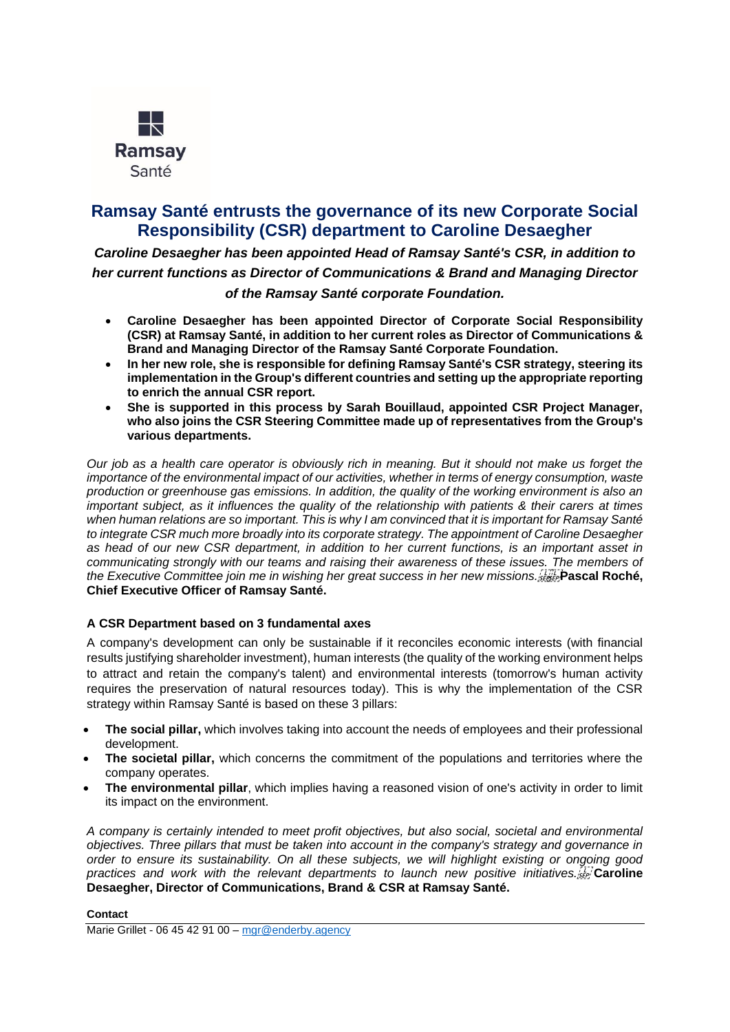

# **Ramsay Santé entrusts the governance of its new Corporate Social Responsibility (CSR) department to Caroline Desaegher**

*Caroline Desaegher has been appointed Head of Ramsay Santé's CSR, in addition to her current functions as Director of Communications & Brand and Managing Director of the Ramsay Santé corporate Foundation.*

- **Caroline Desaegher has been appointed Director of Corporate Social Responsibility (CSR) at Ramsay Santé, in addition to her current roles as Director of Communications & Brand and Managing Director of the Ramsay Santé Corporate Foundation.**
- **In her new role, she is responsible for defining Ramsay Santé's CSR strategy, steering its implementation in the Group's different countries and setting up the appropriate reporting to enrich the annual CSR report.**
- **She is supported in this process by Sarah Bouillaud, appointed CSR Project Manager, who also joins the CSR Steering Committee made up of representatives from the Group's various departments.**

*Our job as a health care operator is obviously rich in meaning. But it should not make us forget the importance of the environmental impact of our activities, whether in terms of energy consumption, waste production or greenhouse gas emissions. In addition, the quality of the working environment is also an important subject, as it influences the quality of the relationship with patients & their carers at times when human relations are so important. This is why I am convinced that it is important for Ramsay Santé to integrate CSR much more broadly into its corporate strategy. The appointment of Caroline Desaegher as head of our new CSR department, in addition to her current functions, is an important asset in communicating strongly with our teams and raising their awareness of these issues. The members of*  the Executive Committee join me in wishing her great success in her new missions. **From** Pascal Roché, **Chief Executive Officer of Ramsay Santé.**

## **A CSR Department based on 3 fundamental axes**

A company's development can only be sustainable if it reconciles economic interests (with financial results justifying shareholder investment), human interests (the quality of the working environment helps to attract and retain the company's talent) and environmental interests (tomorrow's human activity requires the preservation of natural resources today). This is why the implementation of the CSR strategy within Ramsay Santé is based on these 3 pillars:

- **The social pillar,** which involves taking into account the needs of employees and their professional development.
- **The societal pillar,** which concerns the commitment of the populations and territories where the company operates.
- **The environmental pillar**, which implies having a reasoned vision of one's activity in order to limit its impact on the environment.

*A company is certainly intended to meet profit objectives, but also social, societal and environmental objectives. Three pillars that must be taken into account in the company's strategy and governance in order to ensure its sustainability. On all these subjects, we will highlight existing or ongoing good*  practices and work with the relevant departments to launch new positive initiatives. **Desaegher, Director of Communications, Brand & CSR at Ramsay Santé.**

### **Contact**

Marie Grillet - 06 45 42 91 00 – [mgr@enderby.agency](mailto:mgr@enderby.agency)